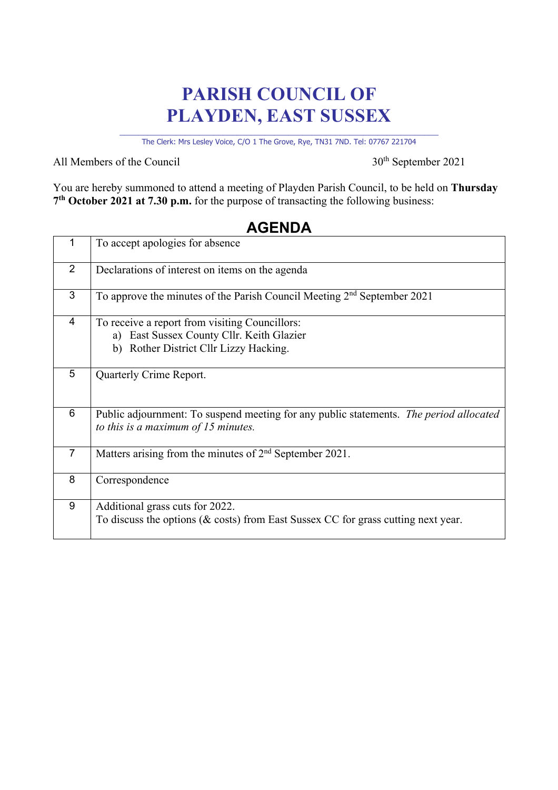# **PARISH COUNCIL OF PLAYDEN, EAST SUSSEX**

\_\_\_\_\_\_\_\_\_\_\_\_\_\_\_\_\_\_\_\_\_\_\_\_\_\_\_\_\_\_\_\_\_\_\_\_\_\_\_\_\_\_\_\_\_\_\_\_\_\_\_\_\_\_\_\_\_\_\_\_\_\_\_\_\_\_\_\_ The Clerk: Mrs Lesley Voice, C/O 1 The Grove, Rye, TN31 7ND. Tel: 07767 221704

All Members of the Council 30<sup>th</sup> September 2021

You are hereby summoned to attend a meeting of Playden Parish Council, to be held on **Thursday 7th October 2021 at 7.30 p.m.** for the purpose of transacting the following business:

| 1              | To accept apologies for absence                                                                                                          |
|----------------|------------------------------------------------------------------------------------------------------------------------------------------|
| $\overline{2}$ | Declarations of interest on items on the agenda                                                                                          |
| 3              | To approve the minutes of the Parish Council Meeting $2nd$ September 2021                                                                |
| $\overline{4}$ | To receive a report from visiting Councillors:<br>East Sussex County Cllr. Keith Glazier<br>a)<br>b) Rother District Cllr Lizzy Hacking. |
| 5              | Quarterly Crime Report.                                                                                                                  |
| 6              | Public adjournment: To suspend meeting for any public statements. The period allocated<br>to this is a maximum of 15 minutes.            |
| $\overline{7}$ | Matters arising from the minutes of $2nd$ September 2021.                                                                                |
| 8              | Correspondence                                                                                                                           |
| 9              | Additional grass cuts for 2022.<br>To discuss the options ( $\&$ costs) from East Sussex CC for grass cutting next year.                 |

### **AGENDA**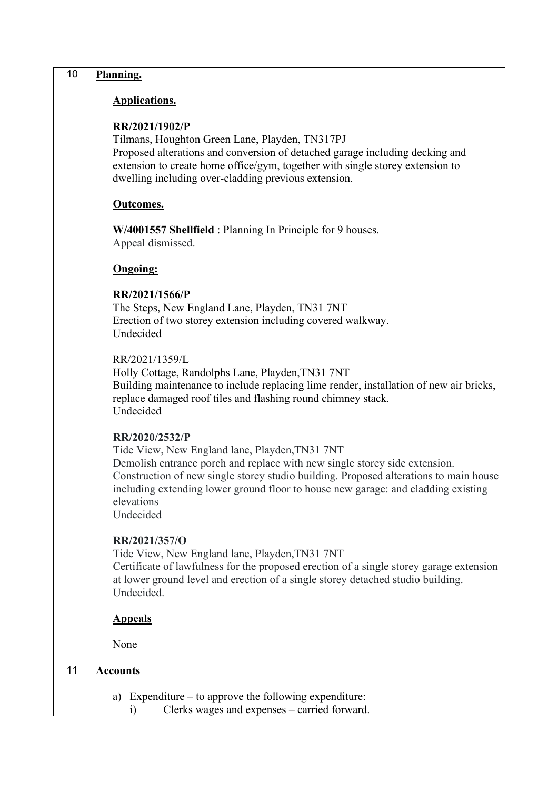| 10 | Planning.                                                                                                                                                                                                                                                                                                                                               |
|----|---------------------------------------------------------------------------------------------------------------------------------------------------------------------------------------------------------------------------------------------------------------------------------------------------------------------------------------------------------|
|    | Applications.                                                                                                                                                                                                                                                                                                                                           |
|    | RR/2021/1902/P<br>Tilmans, Houghton Green Lane, Playden, TN317PJ<br>Proposed alterations and conversion of detached garage including decking and<br>extension to create home office/gym, together with single storey extension to<br>dwelling including over-cladding previous extension.                                                               |
|    | Outcomes.                                                                                                                                                                                                                                                                                                                                               |
|    | W/4001557 Shellfield: Planning In Principle for 9 houses.<br>Appeal dismissed.                                                                                                                                                                                                                                                                          |
|    | <b>Ongoing:</b>                                                                                                                                                                                                                                                                                                                                         |
|    | RR/2021/1566/P<br>The Steps, New England Lane, Playden, TN31 7NT<br>Erection of two storey extension including covered walkway.<br>Undecided                                                                                                                                                                                                            |
|    | RR/2021/1359/L<br>Holly Cottage, Randolphs Lane, Playden, TN31 7NT<br>Building maintenance to include replacing lime render, installation of new air bricks,<br>replace damaged roof tiles and flashing round chimney stack.<br>Undecided                                                                                                               |
|    | RR/2020/2532/P<br>Tide View, New England lane, Playden, TN31 7NT<br>Demolish entrance porch and replace with new single storey side extension.<br>Construction of new single storey studio building. Proposed alterations to main house<br>including extending lower ground floor to house new garage: and cladding existing<br>elevations<br>Undecided |
|    | RR/2021/357/O<br>Tide View, New England lane, Playden, TN31 7NT<br>Certificate of lawfulness for the proposed erection of a single storey garage extension<br>at lower ground level and erection of a single storey detached studio building.<br>Undecided.                                                                                             |
|    | <b>Appeals</b>                                                                                                                                                                                                                                                                                                                                          |
|    | None                                                                                                                                                                                                                                                                                                                                                    |
| 11 | <b>Accounts</b>                                                                                                                                                                                                                                                                                                                                         |
|    | a) Expenditure $-$ to approve the following expenditure:<br>Clerks wages and expenses - carried forward.<br>1)                                                                                                                                                                                                                                          |